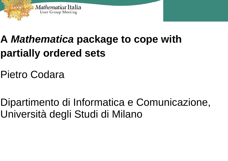

# **A** *Mathematica* **package to cope with partially ordered sets**

Pietro Codara

Dipartimento di Informatica e Comunicazione, Università degli Studi di Milano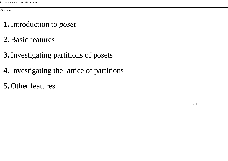#### **Outline**

### **1.** Introduction to *pose<sup>t</sup>*

- **2.** Basic features
- **3.** Investigating partitions of posets
- **4.** Investigating the lattice of partitions
- **5.** Other features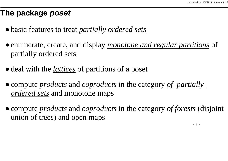### **The package** *poset*

- **è** basic features to treat *partially ordered sets*
- **è** enumerate, create, and display *monotone and regular partitions* of partially ordered sets
- **è** deal with the *lattices* of partitions of a poset
- **è** compute *products* and *coproducts* in the category *of partially ordered sets* and monotone maps
- **è** compute *products* and *coproducts* in the category *of forests* (disjoint union of trees) and open maps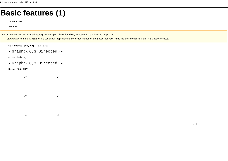### **Basic features (1)**

**<< poset.m**

**? Poset**

Poset[relation] and Poset[relation],*v*] generate a partially ordered set, represented as a directed graph (see

*Combinatorica* manual). *relation* is a set of pairs representing the order relation of the poset (not necessarily the entire order relation). *v* is a list of vertices.

- $C3$  =  $Post[\{(c1, c2), (c2, c3)\}]$
- $-$  Graph: $< 6, 3$ , Directed  $>$ -

**CU3 <sup>=</sup> Chain@3D**

 $-$  Graph: $<$  6,3, Directed  $>$   $-$ 

 $Hasse$ <sup>[</sup>(C3, CU3<sup>}</sup>]

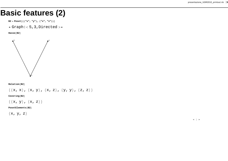### **Basic features (2)**

**B2 <sup>=</sup> Poset@88"x", "y"<, 8"x", "z"<<D**

 $-$  Graph: $<$  5, 3, Directed  $>$ -

 $Hasse[B2]$ 



 $Relation[**B2**]$ 

 $\{\{x, x\}, \{x, y\}, \{x, z\}, \{y, y\}, \{z, z\}\}\$ 

 $Covering$ [B2]

 $\{x, y\}, \{x, z\}\}\$ 

 $PostElements$  [B2]

 $\{x, y, z\}$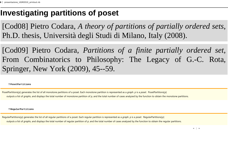### **Investigating partitions of poset**

[Cod08] Pietro Codara, *A theory of partitions of partially ordered sets*, Ph.D. thesis, Università degli Studi di Milano, Italy (2008).

[Cod09] Pietro Codara, *Partitions of <sup>a</sup> finite partially ordered set*, From Combinatorics to Philosophy: The Legacy of G.-C. Rota, Springer, New York (2009), 45--59.

#### **? PosetPartitions**

PosetPartitions[p] generates the list of all monotone partitions of a poset. Each monotone partition is represented as a *graph*. *p* is a *poset*. PosetPartitions[p] outputs a list of *graphs*, and displays the total number of monotone partition of p, and the total number of cases analyzed by the function to obtain the monotone partitions.

**? RegularPartitions**

RegularPartitions[p] generates the list of all regular partitions of a poset. Each regular partition is represented as a *graph.* p is a poset. RegularPartitions[p] outputs a list of *graphs*, and displays the total number of regular partition of p, and the total number of cases analyzed by the function to obtain the regular partitions.

 $\leftarrow$   $\leftarrow$   $\rightarrow$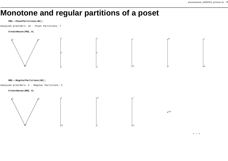### **Monotone and regular partitions of a poset**

#### **PB2** = <code>PosetPartitions</code> [B2]  $\boldsymbol{\mathit{j}}$

Analyzed preorders: 16 <sup>−</sup> Poset Partitions: 7

#### **CreateHasse@PB2, 8D**



#### **RB2** = **RegularPartitions** [**B2**] **;**

Analyzed preorders: 5 <sup>−</sup> Regular Partitions: 5

**CreateHasse@RB2, 6D**



 $\leftarrow$   $\leftarrow$   $\rightarrow$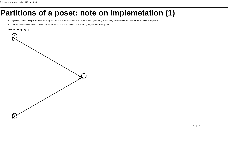### **Partitions of a poset: note on implemetation (1)**

- **è** In general, a monotone partitition returned by the function *PosetPartitions* is not a poset, but a preorder (i.e. the binary relation does not have the antisymmetric property).
- **è** If we apply the function *Hasse* to one of such partitions, we do not obtain an Hasse diagram, but a directed graph.

#### $Hasse[PB2[[4]]]$

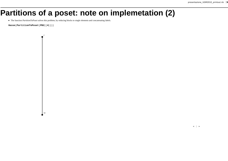### **Partitions of a poset: note on implemetation (2)**

**è** The function *PartitionToPoset* solves this problem, by reducing blocks to single elements and concatenating labels.

 $Hasse[PartitionToPoset[PB2[[4]]]]$ 

*z*

xy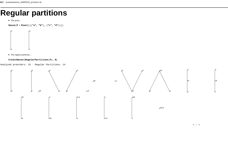### **Regular partitions**

**è** The poset...

 $Hasse[P = Poset[{{'wa", 'b"}}, {'wc", 'd"}}]$ 



**è** The regular partitions...

#### $CreateHasse[RegularPartitions [P], 8]$

Analyzed preorders: 15 <sup>−</sup> Regular Partitions: 14



ad

*c*

*b*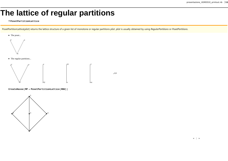## **The lattice of regular partitions**

#### **? PosetPartitionLattice**

PosetPartitionLattice[plist] returns the lattice structure of a given list of monotone or regular partitions plist. plist is usually obtained by using RegularPartitions or PosetPartitions.

xyz





**è** The regular partitions...



 $CreateHasse[MP = PostPartitionLattice[RB2]]$ 



 $\leftarrow$   $\leftarrow$   $\rightarrow$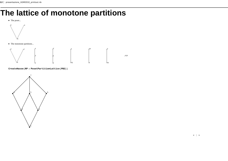### **The lattice of monotone partitions**

**è** The poset...



**è** The monotone partitions...



 $CreateHasse [RP = PostPartitionLattice [PB2]]$ 

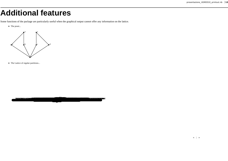### **Additional features**

Some functions of the package are particularly useful when the graphical output cannot offer any information on the lattice.

**è** The poset...



**è** The Lattice of regular partitions...

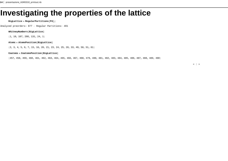### **Investigating the properties of the lattice**

#### $BiedLattice = RequiredLarparities[194]$

Analyzed preorders: 877 <sup>−</sup> Regular Partitions: 491

#### $WhitneyNumbers$  [BigLattice]

 ${1, 19, 107, 208, 131, 24, 1}$ 

#### $\texttt{Atoms} = \texttt{AtomsPosition}[\texttt{BigLattice}]$

 ${2, 3, 4, 5, 6, 7, 15, 16, 20, 21, 23, 24, 25, 26, 33, 49, 50, 51, 61}$ 

#### $\texttt{Coatoms} = \texttt{CoatomsPosition}[\texttt{BigLattice}]$

8457, 458, 459, 460, 461, 462, 463, 464, 465, 466, 467, 468, 479, 480, 481, 482, 483, 484, 485, 486, 487, 488, 489, 490<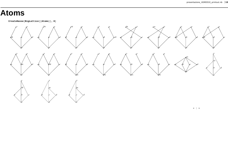#### **Atoms**

 $CreateHasse[Bightlice[\n[Atoms]]\n$ 



 $\leftarrow$   $\leftarrow$   $\rightarrow$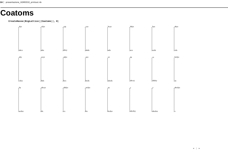#### **Coatoms**

 $CreateHasse[BigLattice[[Coatoms]]$ , 8<sup>1</sup>

|  | $\frac{dyz}{dt}$ | cdyz  | cdz            | cyz          | bcyz        | bdyz               | $_{\rm byz}$ | abyz            |
|--|------------------|-------|----------------|--------------|-------------|--------------------|--------------|-----------------|
|  |                  |       |                |              |             |                    |              |                 |
|  |                  |       |                |              |             |                    |              |                 |
|  |                  |       |                |              |             |                    |              |                 |
|  |                  |       |                |              |             |                    |              |                 |
|  |                  |       |                |              |             |                    |              |                 |
|  | abcx             | labx  | abxy           | abdx         | $\vert$ adx | $rac{1}{\sqrt{2}}$ | lacdx        | cdx             |
|  | $\,$ aby         | acyz  | adyz           | $_{1}$ ayz   | yz          | $\frac{dz}{z}$     | $cz$         | $_{\rm{bcdyz}}$ |
|  |                  |       |                |              |             |                    |              |                 |
|  |                  |       |                |              |             |                    |              |                 |
|  |                  |       |                |              |             |                    |              |                 |
|  |                  |       |                |              |             |                    |              |                 |
|  |                  |       |                |              |             |                    |              |                 |
|  | cdxz             | bdx   | bcx            | $ $ bcdx     | abcdx       | abcxy              | abdxy        | ax              |
|  |                  |       |                |              |             |                    |              |                 |
|  | by               | abcyz | $_{\rm abdyz}$ | acdyz        | $a$ y       | , z                | , y          | abcdyz          |
|  |                  |       |                |              |             |                    |              |                 |
|  |                  |       |                |              |             |                    |              |                 |
|  |                  |       |                |              |             |                    |              |                 |
|  |                  |       |                |              |             |                    |              |                 |
|  |                  |       |                |              |             |                    |              |                 |
|  | lacdxz           | dx    | cx             | $\mathbf{b}$ | bcdxz       | abcdxy             | abcdxz       | $\perp x$       |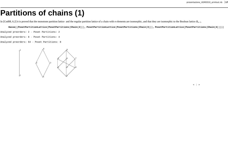### **Partitions of chains (1)**

In [Cod08, 6.2] it is proved that the monotone partition lattice and the regular partition lattice of a chain with *n* elements are isomorphic, and that they are isomorphic to the Boolean lattice  $B_{n-1}$ .

Hasse[{PosetPartitionLattice [PosetPartitions [Chain [2]]], PosetPartitionLattice [PosetPartitions [Chain [3]]], PosetPartitionLattice [PosetPartitionLattice [PosetPartitions [Chain [4]]]}]

- Analyzed preorders: 2 <sup>−</sup> Poset Partitions: 2
- Analyzed preorders: 8 <sup>−</sup> Poset Partitions: 4
- Analyzed preorders: 64 <sup>−</sup> Poset Partitions: 8

1 $\mathfrak{p}$ 2 $\sqrt{3}$ 412 3 4 5 6 7 8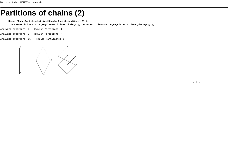### **Partitions of chains (2)**

**Hasse@8PosetPartitionLattice@RegularPartitions@Chain@2DDD,**

PosetPartitionLattice[RegularPartitions[Chain[3]]], PosetPartitionLattice[RegularPartitions[Chain[4]]]}]

Analyzed preorders: 2 <sup>−</sup> Regular Partitions: 2

Analyzed preorders: 5 <sup>−</sup> Regular Partitions: 4

Analyzed preorders: 15 <sup>−</sup> Regular Partitions: 8

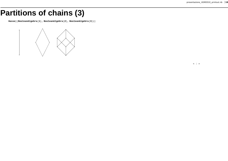### **Partitions of chains (3)**

**Hasse@8BooleanAlgebra@1D, BooleanAlgebra@2D, BooleanAlgebra@3D<D**

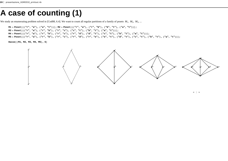### **A case of counting (1)**

We study an enumerating problem solved in [Cod08, 6.4]. We want to count all regular partitions of a family of posets *M*1, *M*2, *M*3, ...

1] [{tr", "a"}, {"a", "a"}, {"a", "c"}} [x1] = Poset [{{"r", "a"}, {"r", "b"}, {"b", "t"}, {"a", "t"}} M1 M3 = Poset[{{"r", "a"}, {"r", "b"}, {"r", "c"}, {"c", "t"}, {"b", "t"}, {"a", "t"}}];

M4 = Poset[{{"r", "a"}, {"r", "b"}, {"r", "c"}, {"r", "d"}, {"d", "t"}, {"c", "t"}, {"b", "t"}, {"a", "t"}}];

M5 = Poset[{{"r", "a"}, {"r", "b"}, {"r", "c"}, {"r", "d"}, {"r", "e"}, {"e", "t"}, {"d", "t"}, {"c", "t"}, {"b", "t"}}];

 $Hasse[\{M1, M2, M3, M4, M5\}, 6]$ 

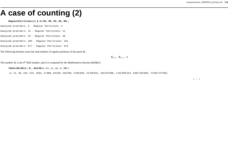#### **A case of counting (2)**

#### **RegularPartitions@ÓD & ê@ 8M1, M2, M3, M4, M5<;**

- Analyzed preorders: 5 <sup>−</sup> Regular Partitions: 4
- Analyzed preorders: 15 <sup>−</sup> Regular Partitions: 11
- Analyzed preorders: 52 <sup>−</sup> Regular Partitions: 38
- Analyzed preorders: 203 <sup>−</sup> Regular Partitions: 152
- Analyzed preorders: 877 <sup>−</sup> Regular Partitions: 675

The following formula count the total number of regular partitions of the poset *Mi* .

*Bi*+<sup>2</sup> <sup>−</sup> *Bi*+<sup>1</sup> <sup>+</sup> 1

The number  $B_n$  is the  $n^{\text{th}}$  Bell number, and it is computed by the *Mathematica* function *BellB[n]*.

 $\text{Table [BellB[}n + 2] - \text{BellB[}n + 1] + 1, \{n, 1, 15\}$ 

84, 11, 38, 152, 675, 3264, 17 008, 94 829, 562 596, 3 535 028, 23 430 841, 163 254 886, 1 192 059 224, 9 097 183 603, 72 384 727 658<